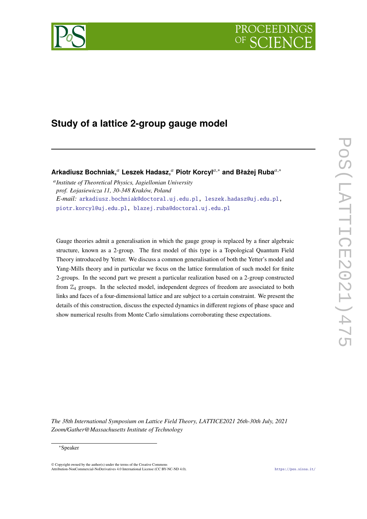



# **Study of a lattice 2-group gauge model**

**Arkadiusz Bochniak,**<sup>𝑎</sup> **Leszek Hadasz,**<sup>𝑎</sup> **Piotr Korcyl**𝑎,<sup>∗</sup> **and Błażej Ruba**𝑎,<sup>∗</sup>

𝑎 *Institute of Theoretical Physics, Jagiellonian University prof. Łojasiewicza 11, 30-348 Kraków, Poland E-mail:* [arkadiusz.bochniak@doctoral.uj.edu.pl,](mailto:arkadiusz.bochniak@doctoral.uj.edu.pl) [leszek.hadasz@uj.edu.pl,](mailto:leszek.hadasz@uj.edu.pl) [piotr.korcyl@uj.edu.pl,](mailto:piotr.korcyl@uj.edu.pl) [blazej.ruba@doctoral.uj.edu.pl](mailto:blazej.ruba@doctoral.uj.edu.pl)

Gauge theories admit a generalisation in which the gauge group is replaced by a finer algebraic structure, known as a 2-group. The first model of this type is a Topological Quantum Field Theory introduced by Yetter. We discuss a common generalisation of both the Yetter's model and Yang-Mills theory and in particular we focus on the lattice formulation of such model for finite 2-groups. In the second part we present a particular realization based on a 2-group constructed from  $\mathbb{Z}_4$  groups. In the selected model, independent degrees of freedom are associated to both links and faces of a four-dimensional lattice and are subject to a certain constraint. We present the details of this construction, discuss the expected dynamics in different regions of phase space and show numerical results from Monte Carlo simulations corroborating these expectations.

*The 38th International Symposium on Lattice Field Theory, LATTICE2021 26th-30th July, 2021 Zoom/Gather@Massachusetts Institute of Technology*

 $\odot$  Copyright owned by the author(s) under the terms of the Creative Common Attribution-NonCommercial-NoDerivatives 4.0 International License (CC BY-NC-ND 4.0). <https://pos.sissa.it/>

<sup>∗</sup>Speaker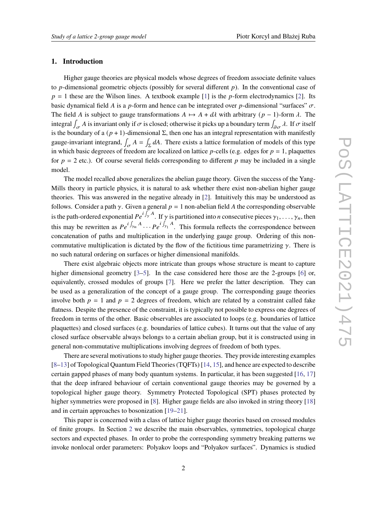### **1. Introduction**

Higher gauge theories are physical models whose degrees of freedom associate definite values to  $p$ -dimensional geometric objects (possibly for several different  $p$ ). In the conventional case of  $p = 1$  these are the Wilson lines. A textbook example [\[1\]](#page-11-0) is the *p*-form electrodynamics [\[2\]](#page-11-1). Its basic dynamical field A is a p-form and hence can be integrated over p-dimensional "surfaces"  $\sigma$ . The field A is subject to gauge transformations  $A \mapsto A + d\lambda$  with arbitrary  $(p - 1)$ -form  $\lambda$ . The integral  $\int_{\sigma} A$  is invariant only if  $\sigma$  is closed; otherwise it picks up a boundary term  $\int_{\partial \sigma} \lambda$ . If  $\sigma$  itself is the boundary of a  $(p + 1)$ -dimensional  $\Sigma$ , then one has an integral representation with manifestly gauge-invariant integrand,  $\int_{\sigma} A = \int_{\Sigma} dA$ . There exists a lattice formulation of models of this type in which basic degreees of freedom are localized on lattice  $p$ -cells (e.g. edges for  $p = 1$ , plaquettes for  $p = 2$  etc.). Of course several fields corresponding to different p may be included in a single model.

The model recalled above generalizes the abelian gauge theory. Given the success of the Yang-Mills theory in particle physics, it is natural to ask whether there exist non-abelian higher gauge theories. This was answered in the negative already in [\[2\]](#page-11-1). Intuitively this may be understood as follows. Consider a path  $\gamma$ . Given a general  $p = 1$  non-abelian field A the corresponding observable is the path-ordered exponential  $Pe^{i\int_{\gamma} A}$ . If  $\gamma$  is partitioned into *n* consecutive pieces  $\gamma_1, \ldots, \gamma_n$ , then this may be rewritten as  $Pe^{i\int_{\gamma_n} A} \cdots Pe^{i\int_{\gamma_1} A}$ . This formula reflects the correspondence between concatenation of paths and multiplication in the underlying gauge group. Ordering of this noncommutative multiplication is dictated by the flow of the fictitious time parametrizing  $\gamma$ . There is no such natural ordering on surfaces or higher dimensional manifolds.

There exist algebraic objects more intricate than groups whose structure is meant to capture higher dimensional geometry [\[3](#page-11-2)[–5\]](#page-11-3). In the case considered here those are the 2-groups [\[6\]](#page-11-4) or, equivalently, crossed modules of groups [\[7\]](#page-12-0). Here we prefer the latter description. They can be used as a generalization of the concept of a gauge group. The corresponding gauge theories involve both  $p = 1$  and  $p = 2$  degrees of freedom, which are related by a constraint called fake flatness. Despite the presence of the constraint, it is typically not possible to express one degrees of freedom in terms of the other. Basic observables are associated to loops (e.g. boundaries of lattice plaquettes) and closed surfaces (e.g. boundaries of lattice cubes). It turns out that the value of any closed surface observable always belongs to a certain abelian group, but it is constructed using in general non-commutative multiplications involving degrees of freedom of both types.

There are several motivations to study higher gauge theories. They provide interesting examples [\[8](#page-12-1)[–13\]](#page-12-2) of Topological Quantum Field Theories (TQFTs) [\[14,](#page-12-3) [15\]](#page-12-4), and hence are expected to describe certain gapped phases of many body quantum systems. In particular, it has been suggested [\[16,](#page-12-5) [17\]](#page-12-6) that the deep infrared behaviour of certain conventional gauge theories may be governed by a topological higher gauge theory. Symmetry Protected Topological (SPT) phases protected by higher symmetries were proposed in [\[8\]](#page-12-1). Higher gauge fields are also invoked in string theory [\[18\]](#page-12-7) and in certain approaches to bosonization [\[19–](#page-12-8)[21\]](#page-12-9).

This paper is concerned with a class of lattice higher gauge theories based on crossed modules of finite groups. In Section [2](#page-2-0) we describe the main observables, symmetries, topological charge sectors and expected phases. In order to probe the corresponding symmetry breaking patterns we invoke nonlocal order parameters: Polyakov loops and "Polyakov surfaces". Dynamics is studied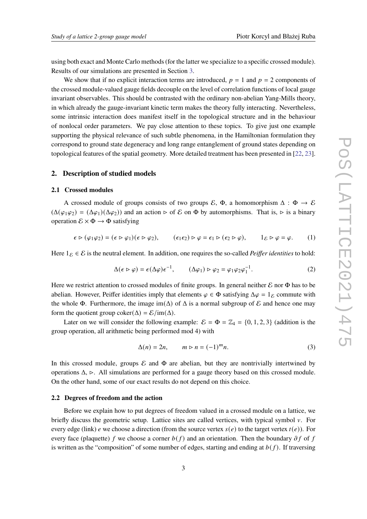using both exact and Monte Carlo methods (for the latter we specialize to a specific crossed module). Results of our simulations are presented in Section [3.](#page-6-0)

We show that if no explicit interaction terms are introduced,  $p = 1$  and  $p = 2$  components of the crossed module-valued gauge fields decouple on the level of correlation functions of local gauge invariant observables. This should be contrasted with the ordinary non-abelian Yang-Mills theory, in which already the gauge-invariant kinetic term makes the theory fully interacting. Nevertheless, some intrinsic interaction does manifest itself in the topological structure and in the behaviour of nonlocal order parameters. We pay close attention to these topics. To give just one example supporting the physical relevance of such subtle phenomena, in the Hamiltonian formulation they correspond to ground state degeneracy and long range entanglement of ground states depending on topological features of the spatial geometry. More detailed treatment has been presented in [\[22,](#page-12-10) [23\]](#page-12-11).

## <span id="page-2-0"></span>**2. Description of studied models**

#### **2.1 Crossed modules**

A crossed module of groups consists of two groups  $\mathcal{E}$ ,  $\Phi$ , a homomorphism  $\Delta : \Phi \to \mathcal{E}$  $(\Delta(\varphi_1\varphi_2) = (\Delta\varphi_1)(\Delta\varphi_2))$  and an action  $\triangleright$  of E on  $\Phi$  by automorphisms. That is,  $\triangleright$  is a binary operation  $\mathcal{E} \times \Phi \rightarrow \Phi$  satisfying

$$
\epsilon \triangleright (\varphi_1 \varphi_2) = (\epsilon \triangleright \varphi_1)(\epsilon \triangleright \varphi_2), \qquad (\epsilon_1 \epsilon_2) \triangleright \varphi = \epsilon_1 \triangleright (\epsilon_2 \triangleright \varphi), \qquad 1_{\mathcal{E}} \triangleright \varphi = \varphi. \qquad (1)
$$

Here  $1_{\mathcal{E}} \in \mathcal{E}$  is the neutral element. In addition, one requires the so-called *Peiffer identities* to hold:

$$
\Delta(\epsilon \triangleright \varphi) = \epsilon(\Delta \varphi) \epsilon^{-1}, \qquad (\Delta \varphi_1) \triangleright \varphi_2 = \varphi_1 \varphi_2 \varphi_1^{-1}. \tag{2}
$$

Here we restrict attention to crossed modules of finite groups. In general neither  $\mathcal E$  nor  $\Phi$  has to be abelian. However, Peiffer identities imply that elements  $\varphi \in \Phi$  satisfying  $\Delta \varphi = 1_{\mathcal{E}}$  commute with the whole  $\Phi$ . Furthermore, the image im( $\Delta$ ) of  $\Delta$  is a normal subgroup of  $\mathcal E$  and hence one may form the quotient group coker( $\Delta$ ) =  $\mathcal{E}/\text{im}(\Delta)$ .

Later on we will consider the following example:  $\mathcal{E} = \Phi = \mathbb{Z}_4 = \{0, 1, 2, 3\}$  (addition is the group operation, all arithmetic being performed mod 4) with

<span id="page-2-1"></span>
$$
\Delta(n) = 2n, \qquad m \triangleright n = (-1)^m n. \tag{3}
$$

In this crossed module, groups  $\mathcal E$  and  $\Phi$  are abelian, but they are nontrivially intertwined by operations  $\Delta$ ,  $\triangleright$ . All simulations are performed for a gauge theory based on this crossed module. On the other hand, some of our exact results do not depend on this choice.

## **2.2 Degrees of freedom and the action**

Before we explain how to put degrees of freedom valued in a crossed module on a lattice, we briefly discuss the geometric setup. Lattice sites are called vertices, with typical symbol  $\nu$ . For every edge (link) e we choose a direction (from the source vertex  $s(e)$ ) to the target vertex  $t(e)$ ). For every face (plaquette) f we choose a corner  $b(f)$  and an orientation. Then the boundary  $\partial f$  of f is written as the "composition" of some number of edges, starting and ending at  $b(f)$ . If traversing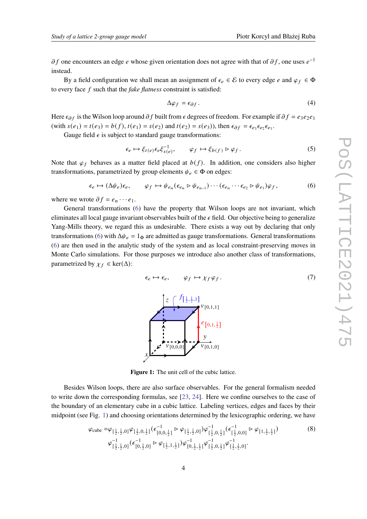$\partial f$  one encounters an edge e whose given orientation does not agree with that of  $\partial f$ , one uses  $e^{-1}$ instead.

By a field configuration we shall mean an assignment of  $\epsilon_e \in \mathcal{E}$  to every edge e and  $\varphi_f \in \Phi$ to every face f such that the *fake flatness* constraint is satisfied:

$$
\Delta \varphi_f = \epsilon_{\partial f} \,. \tag{4}
$$

Here  $\epsilon_{\partial f}$  is the Wilson loop around  $\partial f$  built from  $\epsilon$  degrees of freedom. For example if  $\partial f = e_3e_2e_1$ (with  $s(e_1) = t(e_3) = b(f)$ ,  $t(e_1) = s(e_2)$  and  $t(e_2) = s(e_3)$ ), then  $\epsilon_{\partial f} = \epsilon_{e_3} \epsilon_{e_2} \epsilon_{e_1}$ .

Gauge field  $\epsilon$  is subject to standard gauge transformations:

<span id="page-3-2"></span>
$$
\epsilon_e \mapsto \xi_{t(e)} \epsilon_e \xi_{s(e)}^{-1}, \qquad \varphi_f \mapsto \xi_{b(f)} \triangleright \varphi_f. \tag{5}
$$

Note that  $\varphi_f$  behaves as a matter field placed at  $b(f)$ . In addition, one considers also higher transformations, parametrized by group elements  $\psi_e \in \Phi$  on edges:

<span id="page-3-0"></span>
$$
\epsilon_e \mapsto (\Delta \psi_e)\epsilon_e, \qquad \varphi_f \mapsto \psi_{e_n}(\epsilon_{e_n} \triangleright \psi_{e_{n-1}})\cdots(\epsilon_{e_n} \cdots \epsilon_{e_2} \triangleright \psi_{e_1})\varphi_f, \tag{6}
$$

where we wrote  $\partial f = e_n \cdots e_1$ .

<span id="page-3-1"></span>General transformations [\(6\)](#page-3-0) have the property that Wilson loops are not invariant, which eliminates all local gauge invariant observables built of the  $\epsilon$  field. Our objective being to generalize Yang-Mills theory, we regard this as undesirable. There exists a way out by declaring that only transformations [\(6\)](#page-3-0) with  $\Delta \psi_e = 1_{\Phi}$  are admitted as gauge transformations. General transformations [\(6\)](#page-3-0) are then used in the analytic study of the system and as local constraint-preserving moves in Monte Carlo simulations. For those purposes we introduce also another class of transformations, parametrized by  $\chi_f \in \text{ker}(\Delta)$ :

> $\overline{t}$ [ 1 2 , 1 2 ,1]

 $\overline{z}$ 

•  $V[0,0,0]$ 

 $\mathcal{X}$ 

<span id="page-3-3"></span>
$$
\epsilon_e \mapsto \epsilon_e, \qquad \varphi_f \mapsto \chi_f \varphi_f. \tag{7}
$$

**Figure 1:** The unit cell of the cubic lattice.

Besides Wilson loops, there are also surface observables. For the general formalism needed to write down the corresponding formulas, see [\[23,](#page-12-11) [24\]](#page-13-0). Here we confine ourselves to the case of the boundary of an elementary cube in a cubic lattice. Labeling vertices, edges and faces by their midpoint (see Fig. [1\)](#page-3-1) and choosing orientations determined by the lexicographic ordering, we have

$$
\varphi_{\text{cube}} = \varphi_{\left[\frac{1}{2},\frac{1}{2},0\right]} \varphi_{\left[\frac{1}{2},0,\frac{1}{2}\right]} \left(\epsilon_{\left[0,0,\frac{1}{2}\right]}^{-1} \triangleright \varphi_{\left[\frac{1}{2},\frac{1}{2},0\right]} \right) \varphi_{\left[\frac{1}{2},0,\frac{1}{2}\right]}^{-1} \left(\epsilon_{\left[\frac{1}{2},0,0\right]}^{-1} \triangleright \varphi_{\left[1,\frac{1}{2},\frac{1}{2}\right]} \right) \n\varphi_{\left[\frac{1}{2},\frac{1}{2},0\right]}^{-1} \left(\epsilon_{\left[0,\frac{1}{2},0\right]}^{-1} \triangleright \varphi_{\left[\frac{1}{2},1,\frac{1}{2}\right]} \right) \varphi_{\left[0,\frac{1}{2},\frac{1}{2}\right]}^{-1} \varphi_{\left[\frac{1}{2},0,\frac{1}{2}\right]}^{-1} \varphi_{\left[\frac{1}{2},\frac{1}{2},0\right]}^{-1}.
$$
\n(8)

 $\epsilon$  $\left[0,1,\frac{1}{2}\right]$ 

 $v_{[0,1,1]}$ 

 $\mathbf{v}$ 

•  $\overrightarrow{v_{[0,1,0]}}$ 

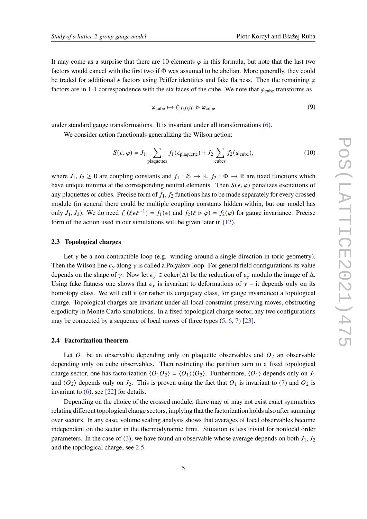$$
\varphi_{\text{cube}} \mapsto \xi_{[0,0,0]} \triangleright \varphi_{\text{cube}} \tag{9}
$$

under standard gauge transformations. It is invariant under all transformations [\(6\)](#page-3-0).

We consider action functionals generalizing the Wilson action:

$$
S(\epsilon, \varphi) = J_1 \sum_{\text{plaquettes}} f_1(\epsilon_{\text{plaquette}}) + J_2 \sum_{\text{cubes}} f_2(\varphi_{\text{cube}}), \tag{10}
$$

where  $J_1, J_2 \ge 0$  are coupling constants and  $f_1 : \mathcal{E} \to \mathbb{R}$ ,  $f_2 : \Phi \to \mathbb{R}$  are fixed functions which have unique minima at the corresponding neutral elements. Then  $S(\epsilon, \varphi)$  penalizes excitations of any plaquettes or cubes. Precise form of  $f_1, f_2$  functions has to be made separately for every crossed module (in general there could be multiple coupling constants hidden within, but our model has only  $J_1, J_2$ ). We do need  $f_1(\xi \epsilon \xi^{-1}) = f_1(\epsilon)$  and  $f_2(\xi \triangleright \varphi) = f_2(\varphi)$  for gauge invariance. Precise form of the action used in our simulations will be given later in [\(12\)](#page-7-0).

## **2.3 Topological charges**

Let  $\gamma$  be a non-contractible loop (e.g. winding around a single direction in toric geometry). Then the Wilson line  $\epsilon_{\gamma}$  along  $\gamma$  is called a Polyakov loop. For general field configurations its value depends on the shape of  $\gamma$ . Now let  $\overline{\epsilon_{\gamma}} \in \text{coker}(\Delta)$  be the reduction of  $\epsilon_{\gamma}$  modulo the image of  $\Delta$ . Using fake flatness one shows that  $\overline{\epsilon_{\gamma}}$  is invariant to deformations of  $\gamma$  – it depends only on its homotopy class. We will call it (or rather its conjugacy class, for gauge invariance) a topological charge. Topological charges are invariant under all local constraint-preserving moves, obstructing ergodicity in Monte Carlo simulations. In a fixed topological charge sector, any two configurations may be connected by a sequence of local moves of three types [\(5,](#page-3-2) [6,](#page-3-0) [7\)](#page-3-3) [\[23\]](#page-12-11).

## **2.4 Factorization theorem**

Let  $O_1$  be an observable depending only on plaquette observables and  $O_2$  an observable depending only on cube observables. Then restricting the partition sum to a fixed topological charge sector, one has factorization  $\langle O_1 O_2 \rangle = \langle O_1 \rangle \langle O_2 \rangle$ . Furthermore,  $\langle O_1 \rangle$  depends only on  $J_1$ and  $\langle O_2 \rangle$  depends only on  $J_2$ . This is proven using the fact that  $O_1$  is invariant to [\(7\)](#page-3-3) and  $O_2$  is invariant to [\(6\)](#page-3-0), see [\[22\]](#page-12-10) for details.

Depending on the choice of the crossed module, there may or may not exist exact symmetries relating different topological charge sectors, implying that the factorization holds also after summing over sectors. In any case, volume scaling analysis shows that averages of local observables become independent on the sector in the thermodynamic limit. Situation is less trivial for nonlocal order parameters. In the case of [\(3\)](#page-2-1), we have found an observable whose average depends on both  $J_1, J_2$ and the topological charge, see [2.5.](#page-5-0)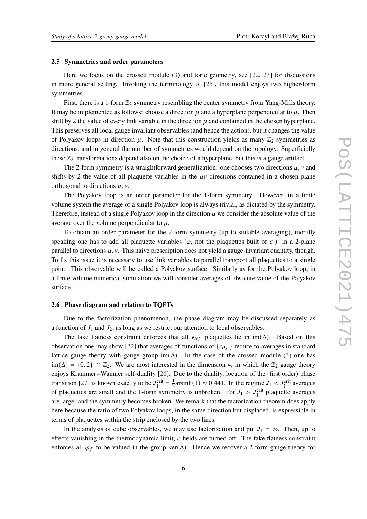#### <span id="page-5-0"></span>**2.5 Symmetries and order parameters**

Here we focus on the crossed module [\(3\)](#page-2-1) and toric geometry, see [\[22,](#page-12-10) [23\]](#page-12-11) for discussions in more general setting. Invoking the terminology of [\[25\]](#page-13-1), this model enjoys two higher-form symmetries.

First, there is a 1-form  $\mathbb{Z}_2$  symmetry resembling the center symmetry from Yang-Mills theory. It may be implemented as follows: choose a direction  $\mu$  and a hyperplane perpendicular to  $\mu$ . Then shift by 2 the value of every link variable in the direction  $\mu$  and contained in the chosen hyperplane. This preserves all local gauge invariant observables (and hence the action), but it changes the value of Polyakov loops in direction  $\mu$ . Note that this construction yields as many  $\mathbb{Z}_2$  symmetries as directions, and in general the number of symmetries would depend on the topology. Superficially these  $\mathbb{Z}_2$  transformations depend also on the choice of a hyperplane, but this is a gauge artifact.

The 2-form symmetry is a straightforward generalization: one chooses two directions  $\mu$ ,  $\nu$  and shifts by 2 the value of all plaquette variables in the  $\mu\nu$  directions contained in a chosen plane orthogonal to directions  $\mu$ ,  $\nu$ .

The Polyakov loop is an order parameter for the 1-form symmetry. However, in a finite volume system the average of a single Polyakov loop is always trivial, as dictated by the symmetry. Therefore, instead of a single Polyakov loop in the direction  $\mu$  we consider the absolute value of the average over the volume perpendicular to  $\mu$ .

To obtain an order parameter for the 2-form symmetry (up to suitable averaging), morally speaking one has to add all plaquette variables ( $\varphi$ , not the plaquettes built of  $\epsilon$ !) in a 2-plane parallel to directions  $\mu$ ,  $\nu$ . This naive prescription does not yield a gauge-invariant quantity, though. To fix this issue it is necessary to use link variables to parallel transport all plaquettes to a single point. This observable will be called a Polyakov surface. Similarly as for the Polyakov loop, in a finite volume numerical simulation we will consider averages of absolute value of the Polyakov surface.

## **2.6 Phase diagram and relation to TQFTs**

Due to the factorization phenomenon, the phase diagram may be discussed separately as a function of  $J_1$  and  $J_2$ , as long as we restrict our attention to local observables.

The fake flatness constraint enforces that all  $\epsilon_{\partial f}$  plaquettes lie in im( $\Delta$ ). Based on this observation one may show [\[22\]](#page-12-10) that averages of functions of  $\{\epsilon_{\partial f}\}\$  reduce to averages in standard lattice gauge theory with gauge group  $\text{im}(\Delta)$ . In the case of the crossed module [\(3\)](#page-2-1) one has  $\text{im}(\Delta) = \{0, 2\} \cong \mathbb{Z}_2$ . We are most interested in the dimension 4, in which the  $\mathbb{Z}_2$  gauge theory enjoys Krammers-Wannier self-duality [\[26\]](#page-13-2). Due to the duality, location of the (first order) phase transition [\[27\]](#page-13-3) is known exactly to be  $J_1^{\text{crit}} = \frac{1}{2}$  $\frac{1}{2}$ arsinh(1)  $\approx 0.441$ . In the regime  $J_1 < J_1^{\text{crit}}$  averages of plaquettes are small and the 1-form symmetry is unbroken. For  $J_1 > J_1^{\text{crit}}$  plaquette averages are larger and the symmetry becomes broken. We remark that the factorization theorem does apply here because the ratio of two Polyakov loops, in the same direction but displaced, is expressible in terms of plaquettes within the strip enclosed by the two lines.

In the analysis of cube observables, we may use factorization and put  $J_1 = \infty$ . Then, up to effects vanishing in the thermodynamic limit,  $\epsilon$  fields are turned off. The fake flatness constraint enforces all  $\varphi_f$  to be valued in the group ker( $\Delta$ ). Hence we recover a 2-form gauge theory for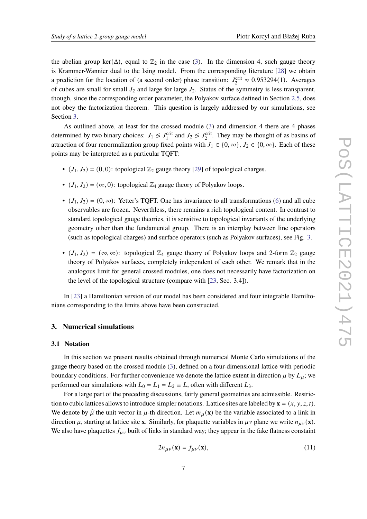the abelian group ker( $\Delta$ ), equal to  $\mathbb{Z}_2$  in the case [\(3\)](#page-2-1). In the dimension 4, such gauge theory is Krammer-Wannier dual to the Ising model. From the corresponding literature [\[28\]](#page-13-4) we obtain a prediction for the location of (a second order) phase transition:  $J_2^{\text{crit}} \approx 0.953294(1)$ . Averages of cubes are small for small  $J_2$  and large for large  $J_2$ . Status of the symmetry is less transparent, though, since the corresponding order parameter, the Polyakov surface defined in Section [2.5,](#page-5-0) does not obey the factorization theorem. This question is largely addressed by our simulations, see Section [3.](#page-6-0)

As outlined above, at least for the crossed module [\(3\)](#page-2-1) and dimension 4 there are 4 phases determined by two binary choices:  $J_1 \leq J_1^{\text{crit}}$  and  $J_2 \leq J_2^{\text{crit}}$ . They may be thought of as basins of attraction of four renormalization group fixed points with  $J_1 \in \{0, \infty\}$ ,  $J_2 \in \{0, \infty\}$ . Each of these points may be interpreted as a particular TQFT:

- $(J_1, J_2) = (0, 0)$ : topological  $\mathbb{Z}_2$  gauge theory [\[29\]](#page-13-5) of topological charges.
- $(J_1, J_2) = (\infty, 0)$ : topological  $\mathbb{Z}_4$  gauge theory of Polyakov loops.
- $(J_1, J_2) = (0, \infty)$ : Yetter's TQFT. One has invariance to all transformations [\(6\)](#page-3-0) and all cube observables are frozen. Neverthless, there remains a rich topological content. In contrast to standard topological gauge theories, it is sensitive to topological invariants of the underlying geometry other than the fundamental group. There is an interplay between line operators (such as topological charges) and surface operators (such as Polyakov surfaces), see Fig. [3.](#page-10-0)
- $(J_1, J_2) = (\infty, \infty)$ : topological  $\mathbb{Z}_4$  gauge theory of Polyakov loops and 2-form  $\mathbb{Z}_2$  gauge theory of Polyakov surfaces, completely independent of each other. We remark that in the analogous limit for general crossed modules, one does not necessarily have factorization on the level of the topological structure (compare with [\[23,](#page-12-11) Sec. 3.4]).

In [\[23\]](#page-12-11) a Hamiltonian version of our model has been considered and four integrable Hamiltonians corresponding to the limits above have been constructed.

# <span id="page-6-0"></span>**3. Numerical simulations**

#### **3.1 Notation**

In this section we present results obtained through numerical Monte Carlo simulations of the gauge theory based on the crossed module [\(3\)](#page-2-1), defined on a four-dimensional lattice with periodic boundary conditions. For further convenience we denote the lattice extent in direction  $\mu$  by  $L_{\mu}$ ; we performed our simulations with  $L_0 = L_1 = L_2 \equiv L$ , often with different  $L_3$ .

For a large part of the preceding discussions, fairly general geometries are admissible. Restriction to cubic lattices allows to introduce simpler notations. Lattice sites are labeled by  $\mathbf{x} = (x, y, z, t)$ . We denote by  $\hat{\mu}$  the unit vector in  $\mu$ -th direction. Let  $m_{\mu}(\mathbf{x})$  be the variable associated to a link in direction  $\mu$ , starting at lattice site **x**. Similarly, for plaquette variables in  $\mu\nu$  plane we write  $n_{\mu\nu}(\mathbf{x})$ . We also have plaquettes  $f_{\mu\nu}$  built of links in standard way; they appear in the fake flatness constaint

$$
2n_{\mu\nu}(\mathbf{x}) = f_{\mu\nu}(\mathbf{x}),\tag{11}
$$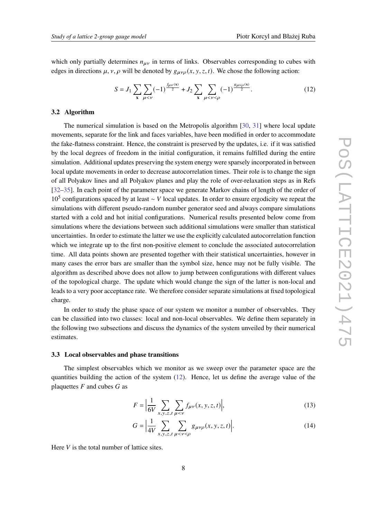which only partially determines  $n_{\mu\nu}$  in terms of links. Observables corresponding to cubes with edges in directions  $\mu$ ,  $\nu$ ,  $\rho$  will be denoted by  $g_{\mu\nu\rho}(x, y, z, t)$ . We chose the following action:

<span id="page-7-0"></span>
$$
S = J_1 \sum_{\mathbf{x}} \sum_{\mu < \nu} (-1)^{\frac{f_{\mu\nu}(\mathbf{x})}{2}} + J_2 \sum_{\mathbf{x}} \sum_{\mu < \nu < \rho} (-1)^{\frac{g_{\mu\nu\rho}(\mathbf{x})}{2}}. \tag{12}
$$

## **3.2 Algorithm**

The numerical simulation is based on the Metropolis algorithm [\[30,](#page-13-6) [31\]](#page-13-7) where local update movements, separate for the link and faces variables, have been modified in order to accommodate the fake-flatness constraint. Hence, the constraint is preserved by the updates, i.e. if it was satisfied by the local degrees of freedom in the initial configuration, it remains fulfilled during the entire simulation. Additional updates preserving the system energy were sparsely incorporated in between local update movements in order to decrease autocorrelation times. Their role is to change the sign of all Polyakov lines and all Polyakov planes and play the role of over-relaxation steps as in Refs [\[32](#page-13-8)[–35\]](#page-13-9). In each point of the parameter space we generate Markov chains of length of the order of 10<sup>5</sup> configurations spaced by at least ~ *V* local updates. In order to ensure ergodicity we repeat the simulations with different pseudo-random number generator seed and always compare simulations started with a cold and hot initial configurations. Numerical results presented below come from simulations where the deviations between such additional simulations were smaller than statistical uncertainties. In order to estimate the latter we use the explicitly calculated autocorrelation function which we integrate up to the first non-positive element to conclude the associated autocorrelation time. All data points shown are presented together with their statistical uncertainties, however in many cases the error bars are smaller than the symbol size, hence may not be fully visible. The algorithm as described above does not allow to jump between configurations with different values of the topological charge. The update which would change the sign of the latter is non-local and leads to a very poor acceptance rate. We therefore consider separate simulations at fixed topological charge.

In order to study the phase space of our system we monitor a number of observables. They can be classified into two classes: local and non-local observables. We define them separately in the following two subsections and discuss the dynamics of the system unveiled by their numerical estimates.

## **3.3 Local observables and phase transitions**

The simplest observables which we monitor as we sweep over the parameter space are the quantities building the action of the system [\(12\)](#page-7-0). Hence, let us define the average value of the plaquettes  $F$  and cubes  $G$  as

<span id="page-7-1"></span>
$$
F = \left| \frac{1}{6V} \sum_{x, y, z, t} \sum_{\mu < \nu} f_{\mu\nu}(x, y, z, t) \right|,\tag{13}
$$

<span id="page-7-2"></span>
$$
G = \left| \frac{1}{4V} \sum_{x, y, z, t} \sum_{\mu < v < \rho} g_{\mu\nu\rho}(x, y, z, t) \right|.
$$
\n(14)

Here  $V$  is the total number of lattice sites.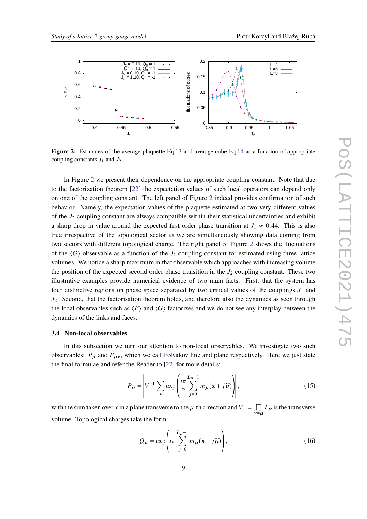<span id="page-8-0"></span>

**Figure 2:** Estimates of the average plaquette Eq[.13](#page-7-1) and average cube Eq[.14](#page-7-2) as a function of appropriate coupling constants  $J_1$  and  $J_2$ .

In Figure [2](#page-8-0) we present their dependence on the appropriate coupling constant. Note that due to the factorization theorem [\[22\]](#page-12-10) the expectation values of such local operators can depend only on one of the coupling constant. The left panel of Figure [2](#page-8-0) indeed provides confirmation of such behavior. Namely, the expectation values of the plaquette estimated at two very different values of the  $J_2$  coupling constant are always compatible within their statistical uncertainties and exhibit a sharp drop in value around the expected first order phase transition at  $J_1 \approx 0.44$ . This is also true irrespective of the topological sector as we are simultaneously showing data coming from two sectors with different topological charge. The right panel of Figure [2](#page-8-0) shows the fluctuations of the  $\langle G \rangle$  observable as a function of the  $J_2$  coupling constant for estimated using three lattice volumes. We notice a sharp maximum in that observable which approaches with increasing volume the position of the expected second order phase transition in the  $J_2$  coupling constant. These two illustrative examples provide numerical evidence of two main facts. First, that the system has four distinctive regions on phase space separated by two critical values of the couplings  $J_1$  and  $J_2$ . Second, that the factorisation theorem holds, and therefore also the dynamics as seen through the local observables such as  $\langle F \rangle$  and  $\langle G \rangle$  factorizes and we do not see any interplay between the dynamics of the links and faces.

## **3.4 Non-local observables**

In this subsection we turn our attention to non-local observables. We investigate two such observables:  $P_{\mu}$  and  $P_{\mu\nu}$ , which we call Polyakov line and plane respectively. Here we just state the final formulae and refer the Reader to [\[22\]](#page-12-10) for more details:

$$
P_{\mu} = \left| V_{\perp}^{-1} \sum_{\mathbf{x}} \exp\left(\frac{i\pi}{2} \sum_{j=0}^{L_{\mu}-1} m_{\mu}(\mathbf{x} + j\widehat{\mu})\right) \right|, \tag{15}
$$

with the sum taken over x in a plane transverse to the  $\mu$ -th direction and  $V_{\perp} = \prod_{\nu \neq \mu} L_{\nu}$  is the transverse volume. Topological charges take the form

$$
Q_{\mu} = \exp\left(i\pi \sum_{j=0}^{L_{\mu}-1} m_{\mu}(\mathbf{x} + j\widehat{\mu})\right),\tag{16}
$$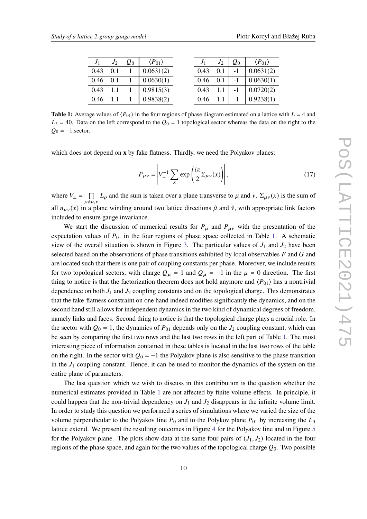<span id="page-9-0"></span>

| $J_1$ | $J_2$ | $Q_0$ | $\langle P_{01} \rangle$ |
|-------|-------|-------|--------------------------|
| 0.43  | 0.1   |       | 0.0631(2)                |
| 0.46  | 0.1   |       | 0.0630(1)                |
| 0.43  | 11    |       | 0.9815(3)                |
| 0.46  |       |       | 0.9838(2)                |

| J <sub>1</sub> | $J_2$ | $Q_0$ | $\langle P_{01} \rangle$ |
|----------------|-------|-------|--------------------------|
| 0.43           | 0.1   | - 1   | 0.0631(2)                |
| 0.46           | 0.1   | - 1   | 0.0630(1)                |
| 0.43           | 11    | -1    | 0.0720(2)                |
| 0.46           |       |       | 0.9238(1)                |

**Table 1:** Average values of  $\langle P_{01} \rangle$  in the four regions of phase diagram estimated on a lattice with  $L = 4$  and  $L_3$  = 40. Data on the left correspond to the  $Q_0$  = 1 topological sector whereas the data on the right to the  $Q_0 = -1$  sector.

which does not depend on **x** by fake flatness. Thirdly, we need the Polyakov planes:

$$
P_{\mu\nu} = \left| V_{\perp}^{-1} \sum_{x} \exp\left(\frac{i\pi}{2} \Sigma_{\mu\nu}(x)\right) \right|,\tag{17}
$$

where  $V_{\perp} = \prod_{\rho \neq \mu, \nu} L_{\rho}$  and the sum is taken over a plane transverse to  $\mu$  and  $\nu$ .  $\Sigma_{\mu\nu}(x)$  is the sum of all  $n_{\mu\nu}(x)$  in a plane winding around two lattice directions  $\hat{\mu}$  and  $\hat{\nu}$ , with appropriate link factors included to ensure gauge invariance.

We start the discussion of numerical results for  $P_{\mu}$  and  $P_{\mu\nu}$  with the presentation of the expectation values of  $P_{01}$  in the four regions of phase space collected in Table [1.](#page-9-0) A schematic view of the overall situation is shown in Figure [3.](#page-10-0) The particular values of  $J_1$  and  $J_2$  have been selected based on the observations of phase transitions exhibited by local observables  $F$  and  $G$  and are located such that there is one pair of coupling constants per phase. Moreover, we include results for two topological sectors, with charge  $Q_{\mu} = 1$  and  $Q_{\mu} = -1$  in the  $\mu = 0$  direction. The first thing to notice is that the factorization theorem does not hold anymore and  $\langle P_{01} \rangle$  has a nontrivial dependence on both  $J_1$  and  $J_2$  coupling constants and on the topological charge. This demonstrates that the fake-flatness constraint on one hand indeed modifies significantly the dynamics, and on the second hand still allows for independent dynamics in the two kind of dynamical degrees of freedom, namely links and faces. Second thing to notice is that the topological charge plays a crucial role. In the sector with  $Q_0 = 1$ , the dynamics of  $P_{01}$  depends only on the  $J_2$  coupling constant, which can be seen by comparing the first two rows and the last two rows in the left part of Table [1.](#page-9-0) The most interesting piece of information contained in these tables is located in the last two rows of the table on the right. In the sector with  $Q_0 = -1$  the Polyakov plane is also sensitive to the phase transition in the  $J_1$  coupling constant. Hence, it can be used to monitor the dynamics of the system on the entire plane of parameters.

The last question which we wish to discuss in this contribution is the question whether the numerical estimates provided in Table [1](#page-9-0) are not affected by finite volume effects. In principle, it could happen that the non-trivial dependency on  $J_1$  and  $J_2$  disappears in the infinite volume limit. In order to study this question we performed a series of simulations where we varied the size of the volume perpendicular to the Polyakov line  $P_0$  and to the Polykov plane  $P_{01}$  by increasing the  $L_3$ lattice extend. We present the resulting outcomes in Figure [4](#page-10-1) for the Polyakov line and in Figure [5](#page-11-5) for the Polyakov plane. The plots show data at the same four pairs of  $(J_1, J_2)$  located in the four regions of the phase space, and again for the two values of the topological charge  $Q_0$ . Two possible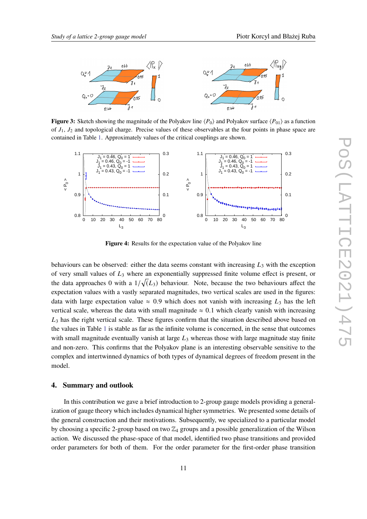<span id="page-10-0"></span>

**Figure 3:** Sketch showing the magnitude of the Polyakov line  $\langle P_0 \rangle$  and Polyakov surface  $\langle P_{01} \rangle$  as a function of  $J_1$ ,  $J_2$  and topological charge. Precise values of these observables at the four points in phase space are contained in Table [1.](#page-9-0) Approximately values of the critical couplings are shown.

<span id="page-10-1"></span>

**Figure 4:** Results for the expectation value of the Polyakov line

behaviours can be observed: either the data seems constant with increasing  $L_3$  with the exception of very small values of  $L_3$  where an exponentially suppressed finite volume effect is present, or the data approaches 0 with a  $1/\sqrt(L_3)$  behaviour. Note, because the two behaviours affect the expectation values with a vastly separated magnitudes, two vertical scales are used in the figures: data with large expectation value  $\approx 0.9$  which does not vanish with increasing  $L_3$  has the left vertical scale, whereas the data with small magnitude  $\approx 0.1$  which clearly vanish with increasing  $L_3$  has the right vertical scale. These figures confirm that the situation described above based on the values in Table [1](#page-9-0) is stable as far as the infinite volume is concerned, in the sense that outcomes with small magnitude eventually vanish at large  $L_3$  whereas those with large magnitude stay finite and non-zero. This confirms that the Polyakov plane is an interesting observable sensitive to the complex and intertwinned dynamics of both types of dynamical degrees of freedom present in the model.

## **4. Summary and outlook**

In this contribution we gave a brief introduction to 2-group gauge models providing a generalization of gauge theory which includes dynamical higher symmetries. We presented some details of the general construction and their motivations. Subsequently, we specialized to a particular model by choosing a specific 2-group based on two  $\mathbb{Z}_4$  groups and a possible generalization of the Wilson action. We discussed the phase-space of that model, identified two phase transitions and provided order parameters for both of them. For the order parameter for the first-order phase transition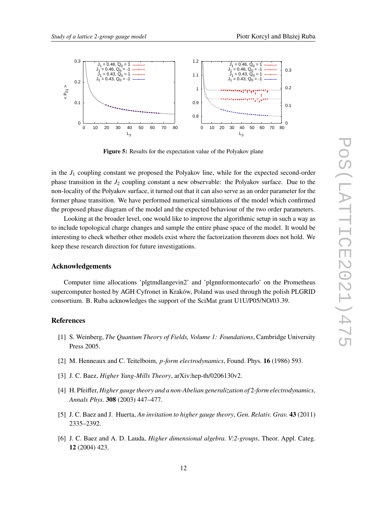<span id="page-11-5"></span>

**Figure 5:** Results for the expectation value of the Polyakov plane

in the  $J_1$  coupling constant we proposed the Polyakov line, while for the expected second-order phase transition in the  $J_2$  coupling constant a new observable: the Polyakov surface. Due to the non-locality of the Polyakov surface, it turned out that it can also serve as an order parameter for the former phase transition. We have performed numerical simulations of the model which confirmed the proposed phase diagram of the model and the expected behaviour of the two order parameters.

Looking at the broader level, one would like to improve the algorithmic setup in such a way as to include topological charge changes and sample the entire phase space of the model. It would be interesting to check whether other models exist where the factorization theorem does not hold. We keep these research direction for future investigations.

## **Acknowledgements**

Computer time allocations 'plgtmdlangevin2' and 'plgnnformontecarlo' on the Prometheus supercomputer hosted by AGH Cyfronet in Kraków, Poland was used through the polish PLGRID consortium. B. Ruba acknowledges the support of the SciMat grant U1U/P05/NO/03.39.

# **References**

- <span id="page-11-0"></span>[1] S. Weinberg, *The Quantum Theory of Fields, Volume 1: Foundations*, Cambridge University Press 2005.
- <span id="page-11-1"></span>[2] M. Henneaux and C. Teitelboim, *p-form electrodynamics*, Found. Phys. **16** (1986) 593.
- <span id="page-11-2"></span>[3] J. C. Baez, *Higher Yang-Mills Theory*, arXiv:hep-th/0206130v2.
- [4] H. Pfeiffer, *Higher gauge theory and a non-Abelian generalization of* 2*-form electrodynamics*, *Annals Phys.* **308** (2003) 447–477.
- <span id="page-11-3"></span>[5] J. C. Baez and J. Huerta, *An invitation to higher gauge theory*, *Gen. Relativ. Grav.* **43** (2011) 2335–2392.
- <span id="page-11-4"></span>[6] J. C. Baez and A. D. Lauda, *Higher dimensional algebra. V:2-groups*, Theor. Appl. Categ. **12** (2004) 423.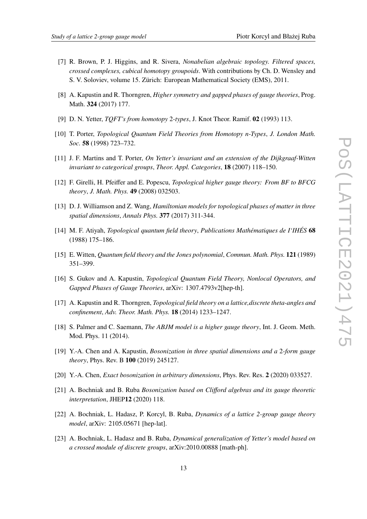- <span id="page-12-0"></span>[7] R. Brown, P. J. Higgins, and R. Sivera, *Nonabelian algebraic topology. Filtered spaces, crossed complexes, cubical homotopy groupoids*. With contributions by Ch. D. Wensley and S. V. Soloviev, volume 15. Zürich: European Mathematical Society (EMS), 2011.
- <span id="page-12-1"></span>[8] A. Kapustin and R. Thorngren, *Higher symmetry and gapped phases of gauge theories*, Prog. Math. **324** (2017) 177.
- [9] D. N. Yetter, *TQFT's from homotopy* 2*-types*, J. Knot Theor. Ramif. **02** (1993) 113.
- [10] T. Porter, *Topological Quantum Field Theories from Homotopy n-Types, J. London Math. Soc.* **58** (1998) 723–732.
- [11] J. F. Martins and T. Porter, *On Yetter's invariant and an extension of the Dijkgraaf-Witten invariant to categorical groups*, *Theor. Appl. Categories*, **18** (2007) 118–150.
- [12] F. Girelli, H. Pfeiffer and E. Popescu, *Topological higher gauge theory: From BF to BFCG theory*, *J. Math. Phys.* **49** (2008) 032503.
- <span id="page-12-2"></span>[13] D. J. Williamson and Z. Wang, *Hamiltonian models for topological phases of matter in three spatial dimensions*, *Annals Phys.* **377** (2017) 311-344.
- <span id="page-12-3"></span>[14] M. F. Atiyah, *Topological quantum field theory*, *Publications Mathématiques de I'IHÉS* **68** (1988) 175–186.
- <span id="page-12-4"></span>[15] E. Witten, *Quantum field theory and the Jones polynomial*, *Commun. Math. Phys.* **121** (1989) 351–399.
- <span id="page-12-5"></span>[16] S. Gukov and A. Kapustin, *Topological Quantum Field Theory, Nonlocal Operators, and Gapped Phases of Gauge Theories*, arXiv: 1307.4793v2[hep-th].
- <span id="page-12-6"></span>[17] A. Kapustin and R. Thorngren, *Topological field theory on a lattice,discrete theta-angles and confinement*, *Adv. Theor. Math. Phys.* **18** (2014) 1233–1247.
- <span id="page-12-7"></span>[18] S. Palmer and C. Saemann, *The ABJM model is a higher gauge theory*, Int. J. Geom. Meth. Mod. Phys. 11 (2014).
- <span id="page-12-8"></span>[19] Y.-A. Chen and A. Kapustin, *Bosonization in three spatial dimensions and a* 2*-form gauge theory*, Phys. Rev. B **100** (2019) 245127.
- [20] Y.-A. Chen, *Exact bosonization in arbitrary dimensions*, Phys. Rev. Res. **2** (2020) 033527.
- <span id="page-12-9"></span>[21] A. Bochniak and B. Ruba *Bosonization based on Clifford algebras and its gauge theoretic interpretation*, JHEP**12** (2020) 118.
- <span id="page-12-10"></span>[22] A. Bochniak, L. Hadasz, P. Korcyl, B. Ruba, *Dynamics of a lattice 2-group gauge theory model*, arXiv: 2105.05671 [hep-lat].
- <span id="page-12-11"></span>[23] A. Bochniak, L. Hadasz and B. Ruba, *Dynamical generalization of Yetter's model based on a crossed module of discrete groups*, arXiv:2010.00888 [math-ph].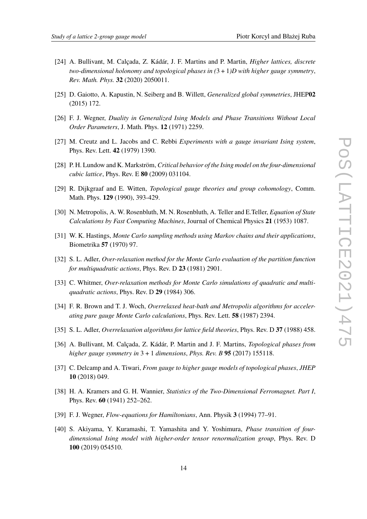- <span id="page-13-0"></span>[24] A. Bullivant, M. Calçada, Z. Kádár, J. F. Martins and P. Martin, *Higher lattices, discrete two-dimensional holonomy and topological phases in (*3 + 1*)D with higher gauge symmetry*, *Rev. Math. Phys.* **32** (2020) 2050011.
- <span id="page-13-1"></span>[25] D. Gaiotto, A. Kapustin, N. Seiberg and B. Willett, *Generalized global symmetries*, JHEP**02** (2015) 172.
- <span id="page-13-2"></span>[26] F. J. Wegner, *Duality in Generalized Ising Models and Phase Transitions Without Local Order Parameters*, J. Math. Phys. **12** (1971) 2259.
- <span id="page-13-3"></span>[27] M. Creutz and L. Jacobs and C. Rebbi *Experiments with a gauge invariant Ising system*, Phys. Rev. Lett. **42** (1979) 1390.
- <span id="page-13-4"></span>[28] P. H. Lundow and K. Markström, *Critical behavior of the Ising model on the four-dimensional cubic lattice*, Phys. Rev. E **80** (2009) 031104.
- <span id="page-13-5"></span>[29] R. Dijkgraaf and E. Witten, *Topological gauge theories and group cohomology*, Comm. Math. Phys. **129** (1990), 393-429.
- <span id="page-13-6"></span>[30] N. Metropolis, A. W. Rosenbluth, M. N. Rosenbluth, A. Teller and E.Teller, *Equation of State Calculations by Fast Computing Machines*, Journal of Chemical Physics **21** (1953) 1087.
- <span id="page-13-7"></span>[31] W. K. Hastings, *Monte Carlo sampling methods using Markov chains and their applications*, Biometrika **57** (1970) 97.
- <span id="page-13-8"></span>[32] S. L. Adler, *Over-relaxation method for the Monte Carlo evaluation of the partition function for multiquadratic actions*, Phys. Rev. D **23** (1981) 2901.
- [33] C. Whitmer, *Over-relaxation methods for Monte Carlo simulations of quadratic and multiquadratic actions*, Phys. Rev. D **29** (1984) 306.
- [34] F. R. Brown and T. J. Woch, *Overrelaxed heat-bath and Metropolis algorithms for accelerating pure gauge Monte Carlo calculations*, Phys. Rev. Lett. **58** (1987) 2394.
- <span id="page-13-9"></span>[35] S. L. Adler, *Overrelaxation algorithms for lattice field theories*, Phys. Rev. D **37** (1988) 458.
- [36] A. Bullivant, M. Calçada, Z. Kádár, P. Martin and J. F. Martins, *Topological phases from higher gauge symmetry in* 3 + 1 *dimensions*, *Phys. Rev. B* **95** (2017) 155118.
- [37] C. Delcamp and A. Tiwari, *From gauge to higher gauge models of topological phases*, *JHEP* **10** (2018) 049.
- [38] H. A. Kramers and G. H. Wannier, *Statistics of the Two-Dimensional Ferromagnet. Part I*, Phys. Rev. **60** (1941) 252–262.
- [39] F. J. Wegner, *Flow-equations for Hamiltonians*, Ann. Physik **3** (1994) 77–91.
- [40] S. Akiyama, Y. Kuramashi, T. Yamashita and Y. Yoshimura, *Phase transition of fourdimensional Ising model with higher-order tensor renormalization group*, Phys. Rev. D **100** (2019) 054510.